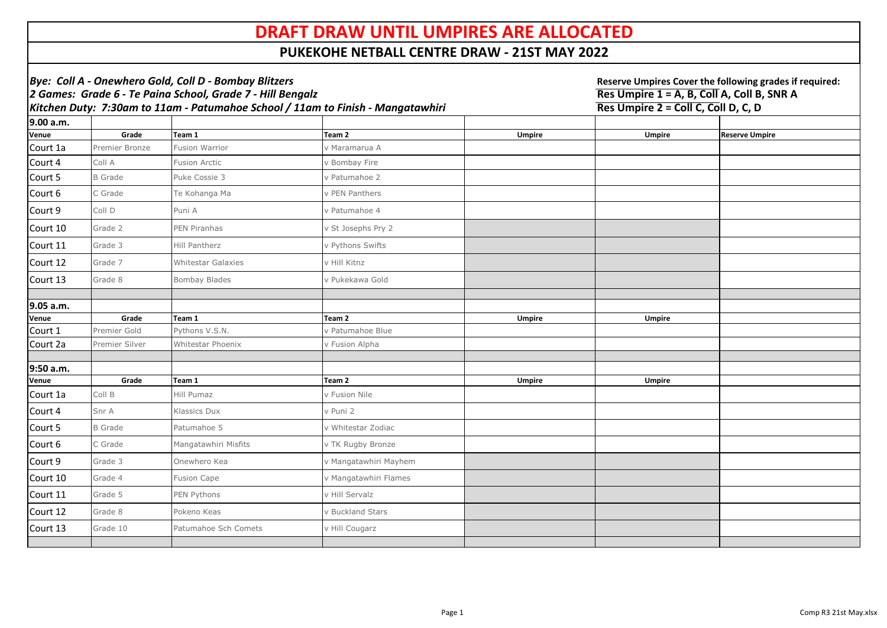| Bye: Coll A - Onewhero Gold, Coll D - Bombay Blitzers<br>2 Games: Grade 6 - Te Paina School, Grade 7 - Hill Bengalz |                                                                                 |                           |                       |               | Reserve Umpires Cover the following grades if required:<br>Res Umpire 1 = A, B, Coll A, Coll B, SNR A |                       |  |
|---------------------------------------------------------------------------------------------------------------------|---------------------------------------------------------------------------------|---------------------------|-----------------------|---------------|-------------------------------------------------------------------------------------------------------|-----------------------|--|
|                                                                                                                     | Kitchen Duty: 7:30am to 11am - Patumahoe School / 11am to Finish - Mangatawhiri |                           |                       |               | Res Umpire 2 = Coll C, Coll D, C, D                                                                   |                       |  |
| 9.00 a.m.                                                                                                           |                                                                                 |                           |                       |               |                                                                                                       |                       |  |
| <b>Venue</b>                                                                                                        | Grade                                                                           | Team 1                    | Team <sub>2</sub>     | <b>Umpire</b> | <b>Umpire</b>                                                                                         | <b>Reserve Umpire</b> |  |
| Court 1a                                                                                                            | Premier Bronze                                                                  | <b>Fusion Warrior</b>     | v Maramarua A         |               |                                                                                                       |                       |  |
| Court 4                                                                                                             | Coll A                                                                          | <b>Fusion Arctic</b>      | v Bombay Fire         |               |                                                                                                       |                       |  |
| Court 5                                                                                                             | <b>B</b> Grade                                                                  | Puke Cossie 3             | v Patumahoe 2         |               |                                                                                                       |                       |  |
| Court 6                                                                                                             | C Grade                                                                         | Te Kohanga Ma             | v PEN Panthers        |               |                                                                                                       |                       |  |
| Court 9                                                                                                             | Coll D                                                                          | Puni A                    | v Patumahoe 4         |               |                                                                                                       |                       |  |
| Court 10                                                                                                            | Grade 2                                                                         | PEN Piranhas              | v St Josephs Pry 2    |               |                                                                                                       |                       |  |
| Court 11                                                                                                            | Grade 3                                                                         | Hill Pantherz             | v Pythons Swifts      |               |                                                                                                       |                       |  |
| Court 12                                                                                                            | Grade 7                                                                         | <b>Whitestar Galaxies</b> | v Hill Kitnz          |               |                                                                                                       |                       |  |
| Court 13                                                                                                            | Grade 8                                                                         | <b>Bombay Blades</b>      | v Pukekawa Gold       |               |                                                                                                       |                       |  |
|                                                                                                                     |                                                                                 |                           |                       |               |                                                                                                       |                       |  |
| 9.05 a.m.<br><b>Venue</b>                                                                                           | Grade                                                                           | Team 1                    | Team 2                | <b>Umpire</b> | <b>Umpire</b>                                                                                         |                       |  |
| Court 1                                                                                                             | Premier Gold                                                                    | Pythons V.S.N.            | v Patumahoe Blue      |               |                                                                                                       |                       |  |
| Court 2a                                                                                                            | Premier Silver                                                                  | Whitestar Phoenix         | v Fusion Alpha        |               |                                                                                                       |                       |  |
|                                                                                                                     |                                                                                 |                           |                       |               |                                                                                                       |                       |  |
| 9:50 a.m.                                                                                                           |                                                                                 |                           |                       |               |                                                                                                       |                       |  |
| <b>Venue</b>                                                                                                        | Grade                                                                           | Team 1                    | Team 2                | <b>Umpire</b> | <b>Umpire</b>                                                                                         |                       |  |
| Court 1a                                                                                                            | Coll B                                                                          | Hill Pumaz                | v Fusion Nile         |               |                                                                                                       |                       |  |
| Court 4                                                                                                             | Snr A                                                                           | Klassics Dux              | v Puni 2              |               |                                                                                                       |                       |  |
| Court 5                                                                                                             | <b>B</b> Grade                                                                  | Patumahoe 5               | v Whitestar Zodiac    |               |                                                                                                       |                       |  |
| Court 6                                                                                                             | C Grade                                                                         | Mangatawhiri Misfits      | v TK Rugby Bronze     |               |                                                                                                       |                       |  |
| Court 9                                                                                                             | Grade 3                                                                         | Onewhero Kea              | v Mangatawhiri Mayhem |               |                                                                                                       |                       |  |
| Court 10                                                                                                            | Grade 4                                                                         | <b>Fusion Cape</b>        | v Mangatawhiri Flames |               |                                                                                                       |                       |  |
| Court 11                                                                                                            | Grade 5                                                                         | PEN Pythons               | v Hill Servalz        |               |                                                                                                       |                       |  |
| Court 12                                                                                                            | Grade 8                                                                         | Pokeno Keas               | v Buckland Stars      |               |                                                                                                       |                       |  |
| Court 13                                                                                                            | Grade 10                                                                        | Patumahoe Sch Comets      | v Hill Cougarz        |               |                                                                                                       |                       |  |
|                                                                                                                     |                                                                                 |                           |                       |               |                                                                                                       |                       |  |

## **DRAFT DRAW UNTIL UMPIRES ARE ALLOCATED**

## **PUKEKOHE NETBALL CENTRE DRAW - 21ST MAY 2022**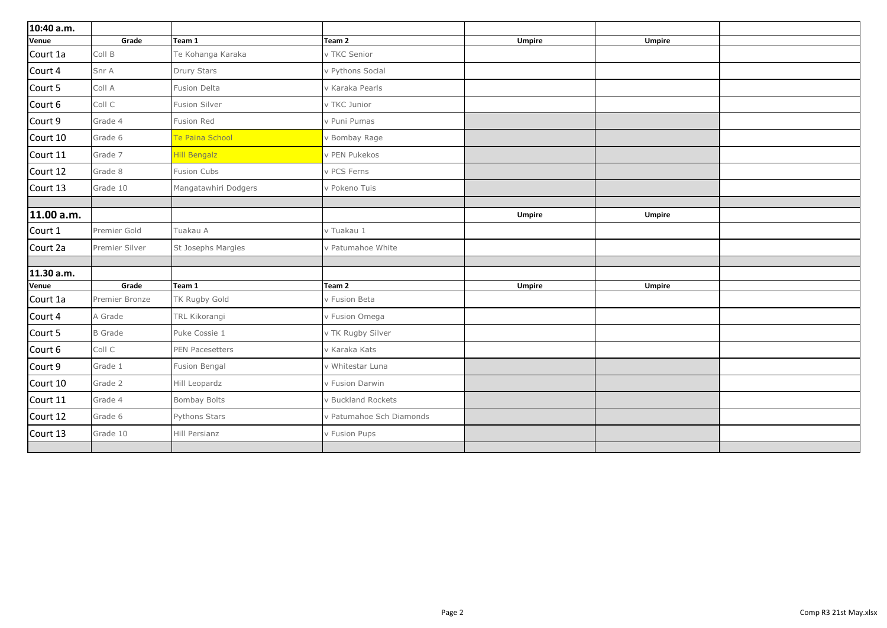| 10:40 a.m.   |                |                        |                          |               |               |
|--------------|----------------|------------------------|--------------------------|---------------|---------------|
| Venue        | Grade          | Team 1                 | Team <sub>2</sub>        | <b>Umpire</b> | <b>Umpire</b> |
| Court 1a     | Coll B         | Te Kohanga Karaka      | v TKC Senior             |               |               |
| Court 4      | Snr A          | Drury Stars            | v Pythons Social         |               |               |
| Court 5      | Coll A         | <b>Fusion Delta</b>    | v Karaka Pearls          |               |               |
| Court 6      | Coll C         | <b>Fusion Silver</b>   | v TKC Junior             |               |               |
| Court 9      | Grade 4        | Fusion Red             | v Puni Pumas             |               |               |
| Court 10     | Grade 6        | <b>Te Paina School</b> | v Bombay Rage            |               |               |
| Court 11     | Grade 7        | <b>Hill Bengalz</b>    | v PEN Pukekos            |               |               |
| Court 12     | Grade 8        | <b>Fusion Cubs</b>     | v PCS Ferns              |               |               |
| Court 13     | Grade 10       | Mangatawhiri Dodgers   | v Pokeno Tuis            |               |               |
| 11.00 a.m.   |                |                        |                          | <b>Umpire</b> | <b>Umpire</b> |
| Court 1      | Premier Gold   | Tuakau A               | v Tuakau 1               |               |               |
| Court 2a     | Premier Silver | St Josephs Margies     | v Patumahoe White        |               |               |
|              |                |                        |                          |               |               |
| 11.30 a.m.   |                |                        |                          |               |               |
| <b>Venue</b> | Grade          | Team 1                 | Team <sub>2</sub>        | <b>Umpire</b> | <b>Umpire</b> |
| Court 1a     | Premier Bronze | TK Rugby Gold          | v Fusion Beta            |               |               |
| Court 4      | A Grade        | TRL Kikorangi          | v Fusion Omega           |               |               |
| Court 5      | <b>B</b> Grade | Puke Cossie 1          | v TK Rugby Silver        |               |               |
| Court 6      | Coll C         | PEN Pacesetters        | v Karaka Kats            |               |               |
| Court 9      | Grade 1        | Fusion Bengal          | v Whitestar Luna         |               |               |
| Court 10     | Grade 2        | Hill Leopardz          | v Fusion Darwin          |               |               |
| Court 11     | Grade 4        | <b>Bombay Bolts</b>    | v Buckland Rockets       |               |               |
| Court 12     | Grade 6        | Pythons Stars          | v Patumahoe Sch Diamonds |               |               |
| Court 13     | Grade 10       | Hill Persianz          | v Fusion Pups            |               |               |
|              |                |                        |                          |               |               |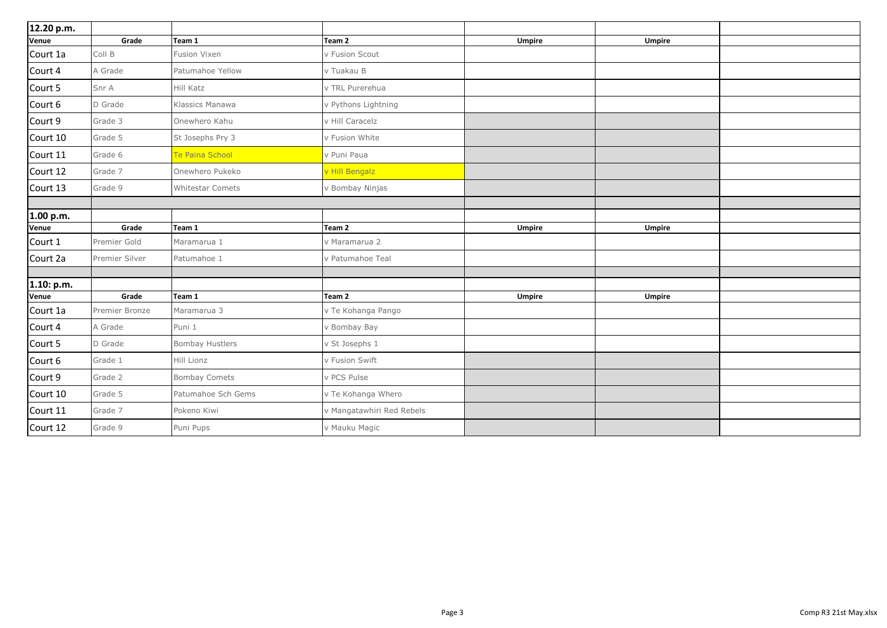| 12.20 p.m. |                |                         |                           |               |               |
|------------|----------------|-------------------------|---------------------------|---------------|---------------|
| Venue      | Grade          | Team 1                  | Team <sub>2</sub>         | <b>Umpire</b> | <b>Umpire</b> |
| Court 1a   | Coll B         | Fusion Vixen            | v Fusion Scout            |               |               |
| Court 4    | A Grade        | Patumahoe Yellow        | v Tuakau B                |               |               |
| Court 5    | Snr A          | Hill Katz               | v TRL Purerehua           |               |               |
| Court 6    | D Grade        | Klassics Manawa         | v Pythons Lightning       |               |               |
| Court 9    | Grade 3        | Onewhero Kahu           | v Hill Caracelz           |               |               |
| Court 10   | Grade 5        | St Josephs Pry 3        | v Fusion White            |               |               |
| Court 11   | Grade 6        | Te Paina School         | v Puni Paua               |               |               |
| Court 12   | Grade 7        | Onewhero Pukeko         | v Hill Bengalz            |               |               |
| Court 13   | Grade 9        | <b>Whitestar Comets</b> | v Bombay Ninjas           |               |               |
| 1.00 p.m.  |                |                         |                           |               |               |
| Venue      | Grade          | Team 1                  | Team <sub>2</sub>         | <b>Umpire</b> | <b>Umpire</b> |
| Court 1    | Premier Gold   | Maramarua 1             | v Maramarua 2             |               |               |
| Court 2a   | Premier Silver | Patumahoe 1             | v Patumahoe Teal          |               |               |
| 1.10: p.m. |                |                         |                           |               |               |
| Venue      | Grade          | Team 1                  | Team <sub>2</sub>         | <b>Umpire</b> | <b>Umpire</b> |
| Court 1a   | Premier Bronze | Maramarua 3             | v Te Kohanga Pango        |               |               |
| Court 4    | A Grade        | Puni 1                  | v Bombay Bay              |               |               |
| Court 5    | D Grade        | <b>Bombay Hustlers</b>  | v St Josephs 1            |               |               |
| Court 6    | Grade 1        | Hill Lionz              | v Fusion Swift            |               |               |
| Court 9    | Grade 2        | <b>Bombay Comets</b>    | v PCS Pulse               |               |               |
| Court 10   | Grade 5        | Patumahoe Sch Gems      | v Te Kohanga Whero        |               |               |
| Court 11   | Grade 7        | Pokeno Kiwi             | v Mangatawhiri Red Rebels |               |               |
| Court 12   | Grade 9        | Puni Pups               | v Mauku Magic             |               |               |
|            |                |                         |                           |               |               |